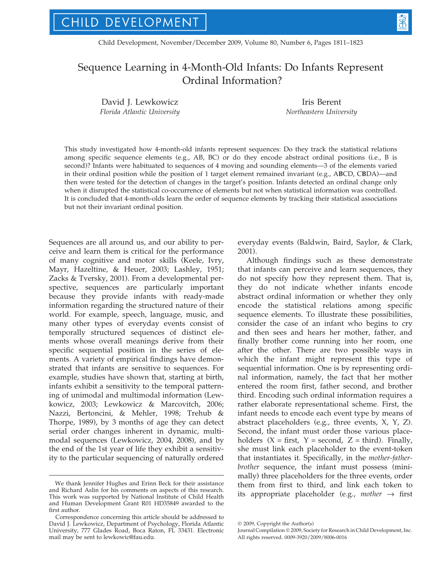Child Development, November/December 2009, Volume 80, Number 6, Pages 1811–1823

# Sequence Learning in 4-Month-Old Infants: Do Infants Represent Ordinal Information?

David J. Lewkowicz Florida Atlantic University

Iris Berent Northeastern University

This study investigated how 4-month-old infants represent sequences: Do they track the statistical relations among specific sequence elements (e.g., AB, BC) or do they encode abstract ordinal positions (i.e., B is second)? Infants were habituated to sequences of 4 moving and sounding elements—3 of the elements varied in their ordinal position while the position of 1 target element remained invariant (e.g., ABCD, CBDA)—and then were tested for the detection of changes in the target's position. Infants detected an ordinal change only when it disrupted the statistical co-occurrence of elements but not when statistical information was controlled. It is concluded that 4-month-olds learn the order of sequence elements by tracking their statistical associations but not their invariant ordinal position.

Sequences are all around us, and our ability to perceive and learn them is critical for the performance of many cognitive and motor skills (Keele, Ivry, Mayr, Hazeltine, & Heuer, 2003; Lashley, 1951; Zacks & Tversky, 2001). From a developmental perspective, sequences are particularly important because they provide infants with ready-made information regarding the structured nature of their world. For example, speech, language, music, and many other types of everyday events consist of temporally structured sequences of distinct elements whose overall meanings derive from their specific sequential position in the series of elements. A variety of empirical findings have demonstrated that infants are sensitive to sequences. For example, studies have shown that, starting at birth, infants exhibit a sensitivity to the temporal patterning of unimodal and multimodal information (Lewkowicz, 2003; Lewkowicz & Marcovitch, 2006; Nazzi, Bertoncini, & Mehler, 1998; Trehub & Thorpe, 1989), by 3 months of age they can detect serial order changes inherent in dynamic, multimodal sequences (Lewkowicz, 2004, 2008), and by the end of the 1st year of life they exhibit a sensitivity to the particular sequencing of naturally ordered

everyday events (Baldwin, Baird, Saylor, & Clark, 2001).

Although findings such as these demonstrate that infants can perceive and learn sequences, they do not specify how they represent them. That is, they do not indicate whether infants encode abstract ordinal information or whether they only encode the statistical relations among specific sequence elements. To illustrate these possibilities, consider the case of an infant who begins to cry and then sees and hears her mother, father, and finally brother come running into her room, one after the other. There are two possible ways in which the infant might represent this type of sequential information. One is by representing ordinal information, namely, the fact that her mother entered the room first, father second, and brother third. Encoding such ordinal information requires a rather elaborate representational scheme. First, the infant needs to encode each event type by means of abstract placeholders (e.g., three events, X, Y, Z). Second, the infant must order those various placeholders  $(X = first, Y = second, Z = third)$ . Finally, she must link each placeholder to the event-token that instantiates it. Specifically, in the mother-fatherbrother sequence, the infant must possess (minimally) three placeholders for the three events, order them from first to third, and link each token to its appropriate placeholder (e.g., *mother*  $\rightarrow$  first

We thank Jennifer Hughes and Erinn Beck for their assistance and Richard Aslin for his comments on aspects of this research. This work was supported by National Institute of Child Health and Human Development Grant R01 HD35849 awarded to the first author.

Correspondence concerning this article should be addressed to David J. Lewkowicz, Department of Psychology, Florida Atlantic University, 777 Glades Road, Boca Raton, FL 33431. Electronic mail may be sent to lewkowic@fau.edu.

<sup>© 2009,</sup> Copyright the Author(s)

Journal Compilation © 2009, Society for Research in Child Development, Inc. All rights reserved. 0009-3920/2009/8006-0016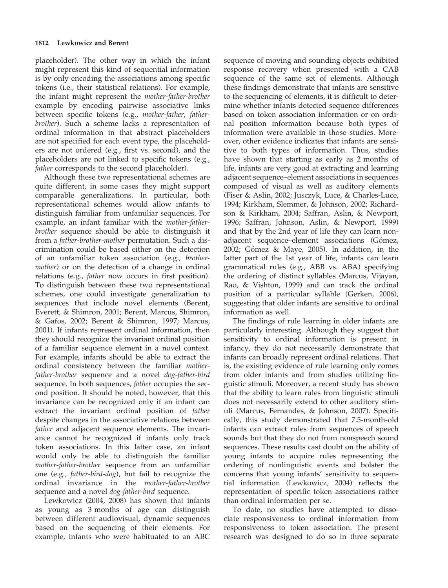placeholder). The other way in which the infant might represent this kind of sequential information is by only encoding the associations among specific tokens (i.e., their statistical relations). For example, the infant might represent the mother-father-brother example by encoding pairwise associative links between specific tokens (e.g., mother-father, fatherbrother). Such a scheme lacks a representation of ordinal information in that abstract placeholders are not specified for each event type, the placeholders are not ordered (e.g., first vs. second), and the placeholders are not linked to specific tokens (e.g., father corresponds to the second placeholder).

Although these two representational schemes are quite different, in some cases they might support comparable generalizations. In particular, both representational schemes would allow infants to distinguish familiar from unfamiliar sequences. For example, an infant familiar with the mother-fatherbrother sequence should be able to distinguish it from a father-brother-mother permutation. Such a discrimination could be based either on the detection of an unfamiliar token association (e.g., brothermother) or on the detection of a change in ordinal relations (e.g., father now occurs in first position). To distinguish between these two representational schemes, one could investigate generalization to sequences that include novel elements (Berent, Everett, & Shimron, 2001; Berent, Marcus, Shimron, & Gafos, 2002; Berent & Shimron, 1997; Marcus, 2001). If infants represent ordinal information, then they should recognize the invariant ordinal position of a familiar sequence element in a novel context. For example, infants should be able to extract the ordinal consistency between the familiar motherfather-brother sequence and a novel dog-father-bird sequence. In both sequences, father occupies the second position. It should be noted, however, that this invariance can be recognized only if an infant can extract the invariant ordinal position of father despite changes in the associative relations between father and adjacent sequence elements. The invariance cannot be recognized if infants only track token associations. In this latter case, an infant would only be able to distinguish the familiar mother-father-brother sequence from an unfamiliar one (e.g., father-bird-dog), but fail to recognize the ordinal invariance in the mother-father-brother sequence and a novel *dog-father-bird* sequence.

Lewkowicz (2004, 2008) has shown that infants as young as 3 months of age can distinguish between different audiovisual, dynamic sequences based on the sequencing of their elements. For example, infants who were habituated to an ABC sequence of moving and sounding objects exhibited response recovery when presented with a CAB sequence of the same set of elements. Although these findings demonstrate that infants are sensitive to the sequencing of elements, it is difficult to determine whether infants detected sequence differences based on token association information or on ordinal position information because both types of information were available in those studies. Moreover, other evidence indicates that infants are sensitive to both types of information. Thus, studies have shown that starting as early as 2 months of life, infants are very good at extracting and learning adjacent sequence–element associations in sequences composed of visual as well as auditory elements (Fiser & Aslin, 2002; Jusczyk, Luce, & Charles-Luce, 1994; Kirkham, Slemmer, & Johnson, 2002; Richardson & Kirkham, 2004; Saffran, Aslin, & Newport, 1996; Saffran, Johnson, Aslin, & Newport, 1999) and that by the 2nd year of life they can learn nonadjacent sequence–element associations (Gómez, 2002; Gómez & Maye, 2005). In addition, in the latter part of the 1st year of life, infants can learn grammatical rules (e.g., ABB vs. ABA) specifying the ordering of distinct syllables (Marcus, Vijayan, Rao, & Vishton, 1999) and can track the ordinal position of a particular syllable (Gerken, 2006), suggesting that older infants are sensitive to ordinal information as well.

The findings of rule learning in older infants are particularly interesting. Although they suggest that sensitivity to ordinal information is present in infancy, they do not necessarily demonstrate that infants can broadly represent ordinal relations. That is, the existing evidence of rule learning only comes from older infants and from studies utilizing linguistic stimuli. Moreover, a recent study has shown that the ability to learn rules from linguistic stimuli does not necessarily extend to other auditory stimuli (Marcus, Fernandes, & Johnson, 2007). Specifically, this study demonstrated that 7.5-month-old infants can extract rules from sequences of speech sounds but that they do not from nonspeech sound sequences. These results cast doubt on the ability of young infants to acquire rules representing the ordering of nonlinguistic events and bolster the concerns that young infants' sensitivity to sequential information (Lewkowicz, 2004) reflects the representation of specific token associations rather than ordinal information per se.

To date, no studies have attempted to dissociate responsiveness to ordinal information from responsiveness to token association. The present research was designed to do so in three separate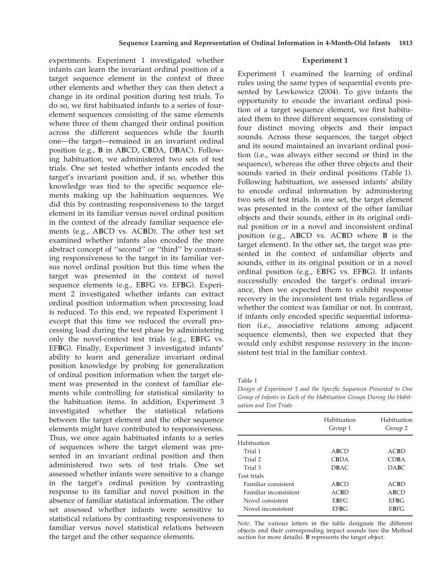experiments. Experiment 1 investigated whether infants can learn the invariant ordinal position of a target sequence element in the context of three other elements and whether they can then detect a change in its ordinal position during test trials. To do so, we first habituated infants to a series of fourelement sequences consisting of the same elements where three of them changed their ordinal position across the different sequences while the fourth one—the target—remained in an invariant ordinal position (e.g., B in ABCD, CBDA, DBAC). Following habituation, we administered two sets of test trials. One set tested whether infants encoded the target's invariant position and, if so, whether this knowledge was tied to the specific sequence elements making up the habituation sequences. We did this by contrasting responsiveness to the target element in its familiar versus novel ordinal position in the context of the already familiar sequence elements (e.g., ABCD vs. ACBD). The other test set examined whether infants also encoded the more abstract concept of ''second'' or ''third'' by contrasting responsiveness to the target in its familiar versus novel ordinal position but this time when the target was presented in the context of novel sequence elements (e.g., EBFG vs. EFBG). Experiment 2 investigated whether infants can extract ordinal position information when processing load is reduced. To this end, we repeated Experiment 1 except that this time we reduced the overall processing load during the test phase by administering only the novel-context test trials (e.g., EBFG vs. EFBG). Finally, Experiment 3 investigated infants' ability to learn and generalize invariant ordinal position knowledge by probing for generalization of ordinal position information when the target element was presented in the context of familiar elements while controlling for statistical similarity to the habituation items. In addition, Experiment 3 investigated whether the statistical relations between the target element and the other sequence elements might have contributed to responsiveness. Thus, we once again habituated infants to a series of sequences where the target element was presented in an invariant ordinal position and then administered two sets of test trials. One set assessed whether infants were sensitive to a change in the target's ordinal position by contrasting response to its familiar and novel position in the absence of familiar statistical information. The other set assessed whether infants were sensitive to statistical relations by contrasting responsiveness to familiar versus novel statistical relations between the target and the other sequence elements.

# Experiment 1

Experiment 1 examined the learning of ordinal rules using the same types of sequential events presented by Lewkowicz (2004). To give infants the opportunity to encode the invariant ordinal position of a target sequence element, we first habituated them to three different sequences consisting of four distinct moving objects and their impact sounds. Across these sequences, the target object and its sound maintained an invariant ordinal position (i.e., was always either second or third in the sequence), whereas the other three objects and their sounds varied in their ordinal positions (Table 1). Following habituation, we assessed infants' ability to encode ordinal information by administering two sets of test trials. In one set, the target element was presented in the context of the other familiar objects and their sounds, either in its original ordinal position or in a novel and inconsistent ordinal position (e.g., ABCD vs. ACBD where B is the target element). In the other set, the target was presented in the context of unfamiliar objects and sounds, either in its original position or in a novel ordinal position (e.g., EBFG vs. EFBG). If infants successfully encoded the target's ordinal invariance, then we expected them to exhibit response recovery in the inconsistent test trials regardless of whether the context was familiar or not. In contrast, if infants only encoded specific sequential information (i.e., associative relations among adjacent sequence elements), then we expected that they would only exhibit response recovery in the inconsistent test trial in the familiar context.

Table 1

Design of Experiment 1 and the Specific Sequences Presented to One Group of Infants in Each of the Habituation Groups During the Habituation and Test Trials

|                       | Habituation<br>Group 1 | Habituation<br>Group 2 |
|-----------------------|------------------------|------------------------|
| Habituation           |                        |                        |
| Trial 1               | ABCD                   | ACBD                   |
| Trial 2               | <b>CBDA</b>            | <b>CDBA</b>            |
| Trial 3               | DBAC.                  | DABC.                  |
| Test trials           |                        |                        |
| Familiar consistent   | ABCD                   | ACBD                   |
| Familiar inconsistent | ACBD                   | ABCD                   |
| Novel consistent      | <b>EBFG</b>            | <b>EFBG</b>            |
| Novel inconsistent    | <b>EFBG</b>            | <b>FBFG</b>            |

Note. The various letters in the table designate the different objects and their corresponding impact sounds (see the Method section for more details). B represents the target object.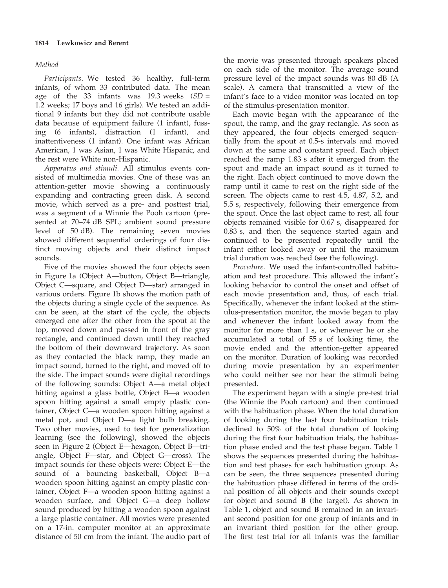# Method

Participants. We tested 36 healthy, full-term infants, of whom 33 contributed data. The mean age of the 33 infants was 19.3 weeks  $(SD =$ 1.2 weeks; 17 boys and 16 girls). We tested an additional 9 infants but they did not contribute usable data because of equipment failure (1 infant), fussing (6 infants), distraction (1 infant), and inattentiveness (1 infant). One infant was African American, 1 was Asian, 1 was White Hispanic, and the rest were White non-Hispanic.

Apparatus and stimuli. All stimulus events consisted of multimedia movies. One of these was an attention-getter movie showing a continuously expanding and contracting green disk. A second movie, which served as a pre- and posttest trial, was a segment of a Winnie the Pooh cartoon (presented at 70–74 dB SPL; ambient sound pressure level of 50 dB). The remaining seven movies showed different sequential orderings of four distinct moving objects and their distinct impact sounds.

Five of the movies showed the four objects seen in Figure 1a (Object A—button, Object B—triangle, Object C—square, and Object D—star) arranged in various orders. Figure 1b shows the motion path of the objects during a single cycle of the sequence. As can be seen, at the start of the cycle, the objects emerged one after the other from the spout at the top, moved down and passed in front of the gray rectangle, and continued down until they reached the bottom of their downward trajectory. As soon as they contacted the black ramp, they made an impact sound, turned to the right, and moved off to the side. The impact sounds were digital recordings of the following sounds: Object A—a metal object hitting against a glass bottle, Object B—a wooden spoon hitting against a small empty plastic container, Object C—a wooden spoon hitting against a metal pot, and Object D—a light bulb breaking. Two other movies, used to test for generalization learning (see the following), showed the objects seen in Figure 2 (Object E—hexagon, Object B—triangle, Object F—star, and Object G—cross). The impact sounds for these objects were: Object E—the sound of a bouncing basketball, Object B—a wooden spoon hitting against an empty plastic container, Object F—a wooden spoon hitting against a wooden surface, and Object G—a deep hollow sound produced by hitting a wooden spoon against a large plastic container. All movies were presented on a 17-in. computer monitor at an approximate distance of 50 cm from the infant. The audio part of

the movie was presented through speakers placed on each side of the monitor. The average sound pressure level of the impact sounds was 80 dB (A scale). A camera that transmitted a view of the infant's face to a video monitor was located on top of the stimulus-presentation monitor.

Each movie began with the appearance of the spout, the ramp, and the gray rectangle. As soon as they appeared, the four objects emerged sequentially from the spout at 0.5-s intervals and moved down at the same and constant speed. Each object reached the ramp 1.83 s after it emerged from the spout and made an impact sound as it turned to the right. Each object continued to move down the ramp until it came to rest on the right side of the screen. The objects came to rest 4.5, 4.87, 5.2, and 5.5 s, respectively, following their emergence from the spout. Once the last object came to rest, all four objects remained visible for 0.67 s, disappeared for 0.83 s, and then the sequence started again and continued to be presented repeatedly until the infant either looked away or until the maximum trial duration was reached (see the following).

Procedure. We used the infant-controlled habituation and test procedure. This allowed the infant's looking behavior to control the onset and offset of each movie presentation and, thus, of each trial. Specifically, whenever the infant looked at the stimulus-presentation monitor, the movie began to play and whenever the infant looked away from the monitor for more than 1 s, or whenever he or she accumulated a total of 55 s of looking time, the movie ended and the attention-getter appeared on the monitor. Duration of looking was recorded during movie presentation by an experimenter who could neither see nor hear the stimuli being presented.

The experiment began with a single pre-test trial (the Winnie the Pooh cartoon) and then continued with the habituation phase. When the total duration of looking during the last four habituation trials declined to 50% of the total duration of looking during the first four habituation trials, the habituation phase ended and the test phase began. Table 1 shows the sequences presented during the habituation and test phases for each habituation group. As can be seen, the three sequences presented during the habituation phase differed in terms of the ordinal position of all objects and their sounds except for object and sound B (the target). As shown in Table 1, object and sound **B** remained in an invariant second position for one group of infants and in an invariant third position for the other group. The first test trial for all infants was the familiar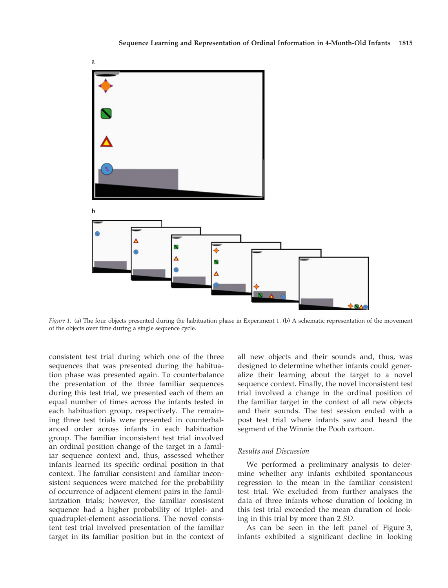

Figure 1. (a) The four objects presented during the habituation phase in Experiment 1. (b) A schematic representation of the movement of the objects over time during a single sequence cycle.

consistent test trial during which one of the three sequences that was presented during the habituation phase was presented again. To counterbalance the presentation of the three familiar sequences during this test trial, we presented each of them an equal number of times across the infants tested in each habituation group, respectively. The remaining three test trials were presented in counterbalanced order across infants in each habituation group. The familiar inconsistent test trial involved an ordinal position change of the target in a familiar sequence context and, thus, assessed whether infants learned its specific ordinal position in that context. The familiar consistent and familiar inconsistent sequences were matched for the probability of occurrence of adjacent element pairs in the familiarization trials; however, the familiar consistent sequence had a higher probability of triplet- and quadruplet-element associations. The novel consistent test trial involved presentation of the familiar target in its familiar position but in the context of

all new objects and their sounds and, thus, was designed to determine whether infants could generalize their learning about the target to a novel sequence context. Finally, the novel inconsistent test trial involved a change in the ordinal position of the familiar target in the context of all new objects and their sounds. The test session ended with a post test trial where infants saw and heard the segment of the Winnie the Pooh cartoon.

# Results and Discussion

We performed a preliminary analysis to determine whether any infants exhibited spontaneous regression to the mean in the familiar consistent test trial. We excluded from further analyses the data of three infants whose duration of looking in this test trial exceeded the mean duration of looking in this trial by more than 2 SD.

As can be seen in the left panel of Figure 3, infants exhibited a significant decline in looking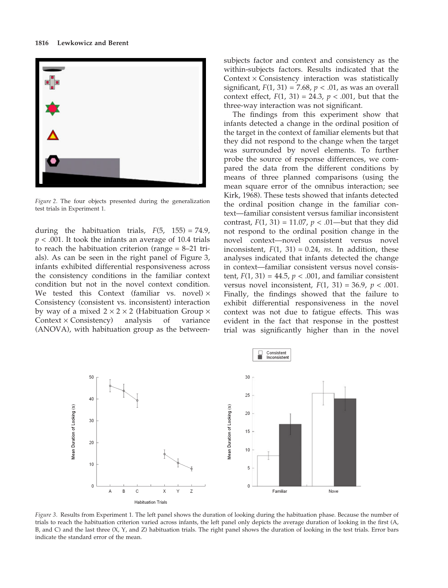

Figure 2. The four objects presented during the generalization test trials in Experiment 1.

during the habituation trials,  $F(5, 155) = 74.9$ ,  $p < .001$ . It took the infants an average of 10.4 trials to reach the habituation criterion (range = 8–21 trials). As can be seen in the right panel of Figure 3, infants exhibited differential responsiveness across the consistency conditions in the familiar context condition but not in the novel context condition. We tested this Context (familiar vs. novel)  $\times$ Consistency (consistent vs. inconsistent) interaction by way of a mixed  $2 \times 2 \times 2$  (Habituation Group  $\times$  $Context \times Consistency)$  analysis of variance (ANOVA), with habituation group as the betweensubjects factor and context and consistency as the within-subjects factors. Results indicated that the Context  $\times$  Consistency interaction was statistically significant,  $F(1, 31) = 7.68$ ,  $p < .01$ , as was an overall context effect,  $F(1, 31) = 24.3$ ,  $p < .001$ , but that the three-way interaction was not significant.

The findings from this experiment show that infants detected a change in the ordinal position of the target in the context of familiar elements but that they did not respond to the change when the target was surrounded by novel elements. To further probe the source of response differences, we compared the data from the different conditions by means of three planned comparisons (using the mean square error of the omnibus interaction; see Kirk, 1968). These tests showed that infants detected the ordinal position change in the familiar context—familiar consistent versus familiar inconsistent contrast,  $F(1, 31) = 11.07$ ,  $p < .01$ —but that they did not respond to the ordinal position change in the novel context—novel consistent versus novel inconsistent,  $F(1, 31) = 0.24$ , *ns.* In addition, these analyses indicated that infants detected the change in context—familiar consistent versus novel consistent,  $F(1, 31) = 44.5$ ,  $p < .001$ , and familiar consistent versus novel inconsistent,  $F(1, 31) = 36.9$ ,  $p < .001$ . Finally, the findings showed that the failure to exhibit differential responsiveness in the novel context was not due to fatigue effects. This was evident in the fact that response in the posttest trial was significantly higher than in the novel



Figure 3. Results from Experiment 1. The left panel shows the duration of looking during the habituation phase. Because the number of trials to reach the habituation criterion varied across infants, the left panel only depicts the average duration of looking in the first (A, B, and C) and the last three (X, Y, and Z) habituation trials. The right panel shows the duration of looking in the test trials. Error bars indicate the standard error of the mean.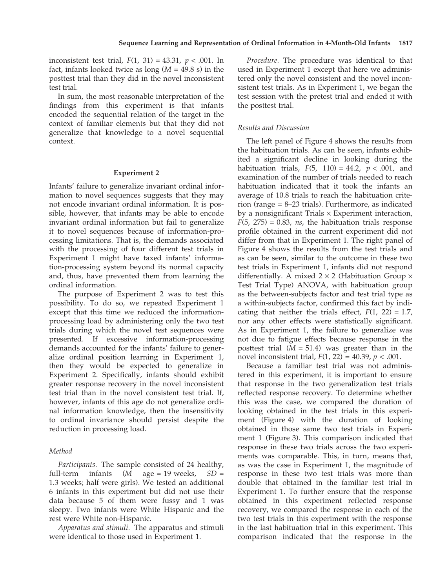inconsistent test trial,  $F(1, 31) = 43.31$ ,  $p < .001$ . In fact, infants looked twice as long  $(M = 49.8 \text{ s})$  in the posttest trial than they did in the novel inconsistent test trial.

In sum, the most reasonable interpretation of the findings from this experiment is that infants encoded the sequential relation of the target in the context of familiar elements but that they did not generalize that knowledge to a novel sequential context.

# Experiment 2

Infants' failure to generalize invariant ordinal information to novel sequences suggests that they may not encode invariant ordinal information. It is possible, however, that infants may be able to encode invariant ordinal information but fail to generalize it to novel sequences because of information-processing limitations. That is, the demands associated with the processing of four different test trials in Experiment 1 might have taxed infants' information-processing system beyond its normal capacity and, thus, have prevented them from learning the ordinal information.

The purpose of Experiment 2 was to test this possibility. To do so, we repeated Experiment 1 except that this time we reduced the informationprocessing load by administering only the two test trials during which the novel test sequences were presented. If excessive information-processing demands accounted for the infants' failure to generalize ordinal position learning in Experiment 1, then they would be expected to generalize in Experiment 2. Specifically, infants should exhibit greater response recovery in the novel inconsistent test trial than in the novel consistent test trial. If, however, infants of this age do not generalize ordinal information knowledge, then the insensitivity to ordinal invariance should persist despite the reduction in processing load.

# Method

Participants. The sample consisted of 24 healthy, full-term infants  $(M \text{ age} = 19 \text{ weeks}, SD =$ 1.3 weeks; half were girls). We tested an additional 6 infants in this experiment but did not use their data because 5 of them were fussy and 1 was sleepy. Two infants were White Hispanic and the rest were White non-Hispanic.

Apparatus and stimuli. The apparatus and stimuli were identical to those used in Experiment 1.

Procedure. The procedure was identical to that used in Experiment 1 except that here we administered only the novel consistent and the novel inconsistent test trials. As in Experiment 1, we began the test session with the pretest trial and ended it with the posttest trial.

# Results and Discussion

The left panel of Figure 4 shows the results from the habituation trials. As can be seen, infants exhibited a significant decline in looking during the habituation trials,  $F(5, 110) = 44.2$ ,  $p < .001$ , and examination of the number of trials needed to reach habituation indicated that it took the infants an average of 10.8 trials to reach the habituation criterion (range = 8–23 trials). Furthermore, as indicated by a nonsignificant Trials  $\times$  Experiment interaction,  $F(5, 275) = 0.83$ , ns, the habituation trials response profile obtained in the current experiment did not differ from that in Experiment 1. The right panel of Figure 4 shows the results from the test trials and as can be seen, similar to the outcome in these two test trials in Experiment 1, infants did not respond differentially. A mixed  $2 \times 2$  (Habituation Group  $\times$ Test Trial Type) ANOVA, with habituation group as the between-subjects factor and test trial type as a within-subjects factor, confirmed this fact by indicating that neither the trials effect,  $F(1, 22) = 1.7$ , nor any other effects were statistically significant. As in Experiment 1, the failure to generalize was not due to fatigue effects because response in the posttest trial  $(M = 51.4)$  was greater than in the novel inconsistent trial,  $F(1, 22) = 40.39$ ,  $p < .001$ .

Because a familiar test trial was not administered in this experiment, it is important to ensure that response in the two generalization test trials reflected response recovery. To determine whether this was the case, we compared the duration of looking obtained in the test trials in this experiment (Figure 4) with the duration of looking obtained in those same two test trials in Experiment 1 (Figure 3). This comparison indicated that response in these two trials across the two experiments was comparable. This, in turn, means that, as was the case in Experiment 1, the magnitude of response in these two test trials was more than double that obtained in the familiar test trial in Experiment 1. To further ensure that the response obtained in this experiment reflected response recovery, we compared the response in each of the two test trials in this experiment with the response in the last habituation trial in this experiment. This comparison indicated that the response in the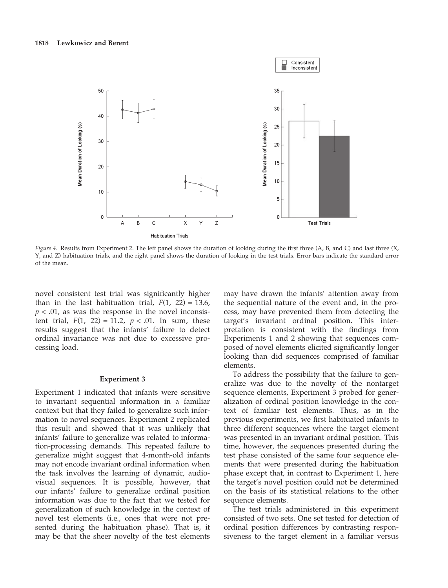

Figure 4. Results from Experiment 2. The left panel shows the duration of looking during the first three (A, B, and C) and last three (X, Y, and Z) habituation trials, and the right panel shows the duration of looking in the test trials. Error bars indicate the standard error of the mean.

novel consistent test trial was significantly higher than in the last habituation trial,  $F(1, 22) = 13.6$ ,  $p < .01$ , as was the response in the novel inconsistent trial,  $F(1, 22) = 11.2, p < .01$ . In sum, these results suggest that the infants' failure to detect ordinal invariance was not due to excessive processing load.

#### Experiment 3

Experiment 1 indicated that infants were sensitive to invariant sequential information in a familiar context but that they failed to generalize such information to novel sequences. Experiment 2 replicated this result and showed that it was unlikely that infants' failure to generalize was related to information-processing demands. This repeated failure to generalize might suggest that 4-month-old infants may not encode invariant ordinal information when the task involves the learning of dynamic, audiovisual sequences. It is possible, however, that our infants' failure to generalize ordinal position information was due to the fact that we tested for generalization of such knowledge in the context of novel test elements (i.e., ones that were not presented during the habituation phase). That is, it may be that the sheer novelty of the test elements may have drawn the infants' attention away from the sequential nature of the event and, in the process, may have prevented them from detecting the target's invariant ordinal position. This interpretation is consistent with the findings from Experiments 1 and 2 showing that sequences composed of novel elements elicited significantly longer looking than did sequences comprised of familiar elements.

To address the possibility that the failure to generalize was due to the novelty of the nontarget sequence elements, Experiment 3 probed for generalization of ordinal position knowledge in the context of familiar test elements. Thus, as in the previous experiments, we first habituated infants to three different sequences where the target element was presented in an invariant ordinal position. This time, however, the sequences presented during the test phase consisted of the same four sequence elements that were presented during the habituation phase except that, in contrast to Experiment 1, here the target's novel position could not be determined on the basis of its statistical relations to the other sequence elements.

The test trials administered in this experiment consisted of two sets. One set tested for detection of ordinal position differences by contrasting responsiveness to the target element in a familiar versus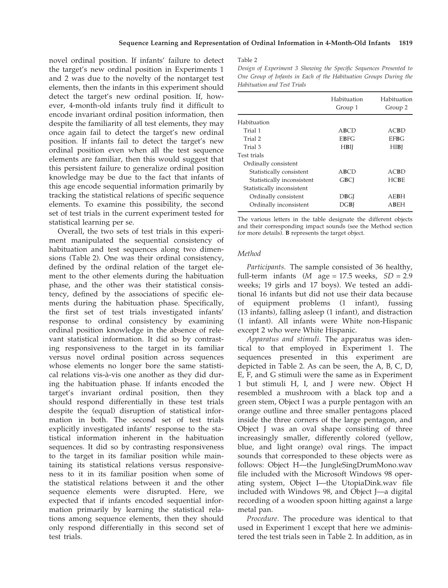novel ordinal position. If infants' failure to detect the target's new ordinal position in Experiments 1 and 2 was due to the novelty of the nontarget test elements, then the infants in this experiment should detect the target's new ordinal position. If, however, 4-month-old infants truly find it difficult to encode invariant ordinal position information, then despite the familiarity of all test elements, they may once again fail to detect the target's new ordinal position. If infants fail to detect the target's new ordinal position even when all the test sequence elements are familiar, then this would suggest that this persistent failure to generalize ordinal position knowledge may be due to the fact that infants of this age encode sequential information primarily by tracking the statistical relations of specific sequence elements. To examine this possibility, the second set of test trials in the current experiment tested for statistical learning per se.

Overall, the two sets of test trials in this experiment manipulated the sequential consistency of habituation and test sequences along two dimensions (Table 2). One was their ordinal consistency, defined by the ordinal relation of the target element to the other elements during the habituation phase, and the other was their statistical consistency, defined by the associations of specific elements during the habituation phase. Specifically, the first set of test trials investigated infants' response to ordinal consistency by examining ordinal position knowledge in the absence of relevant statistical information. It did so by contrasting responsiveness to the target in its familiar versus novel ordinal position across sequences whose elements no longer bore the same statistical relations vis-à-vis one another as they did during the habituation phase. If infants encoded the target's invariant ordinal position, then they should respond differentially in these test trials despite the (equal) disruption of statistical information in both. The second set of test trials explicitly investigated infants' response to the statistical information inherent in the habituation sequences. It did so by contrasting responsiveness to the target in its familiar position while maintaining its statistical relations versus responsiveness to it in its familiar position when some of the statistical relations between it and the other sequence elements were disrupted. Here, we expected that if infants encoded sequential information primarily by learning the statistical relations among sequence elements, then they should only respond differentially in this second set of test trials.

# Table 2

Design of Experiment 3 Showing the Specific Sequences Presented to One Group of Infants in Each of the Habituation Groups During the Habituation and Test Trials

|                            | Habituation<br>Group 1 | Habituation<br>Group 2 |
|----------------------------|------------------------|------------------------|
| Habituation                |                        |                        |
| Trial 1                    | ABCD                   | <b>ACBD</b>            |
| Trial 2                    | <b>EBFG</b>            | <b>EFBG</b>            |
| Trial 3                    | <b>HBII</b>            | <b>HIBI</b>            |
| Test trials                |                        |                        |
| Ordinally consistent       |                        |                        |
| Statistically consistent   | ABCD                   | ACBD                   |
| Statistically inconsistent | <b>GBCI</b>            | <b>HCBE</b>            |
| Statistically inconsistent |                        |                        |
| Ordinally consistent       | <b>DBGI</b>            | <b>AEBH</b>            |
| Ordinally inconsistent     | DGBI                   | ABEH                   |

The various letters in the table designate the different objects and their corresponding impact sounds (see the Method section for more details). B represents the target object.

# Method

Participants. The sample consisted of 36 healthy, full-term infants  $(M \text{ age} = 17.5 \text{ weeks}, SD = 2.9)$ weeks; 19 girls and 17 boys). We tested an additional 16 infants but did not use their data because equipment problems (1 infant), fussing (13 infants), falling asleep (1 infant), and distraction (1 infant). All infants were White non-Hispanic except 2 who were White Hispanic.

Apparatus and stimuli. The apparatus was identical to that employed in Experiment 1. The sequences presented in this experiment are depicted in Table 2. As can be seen, the A, B, C, D, E, F, and G stimuli were the same as in Experiment 1 but stimuli H, I, and J were new. Object H resembled a mushroom with a black top and a green stem, Object I was a purple pentagon with an orange outline and three smaller pentagons placed inside the three corners of the large pentagon, and Object J was an oval shape consisting of three increasingly smaller, differently colored (yellow, blue, and light orange) oval rings. The impact sounds that corresponded to these objects were as follows: Object H—the JungleSingDrumMono.wav file included with the Microsoft Windows 98 operating system, Object I—the UtopiaDink.wav file included with Windows 98, and Object J—a digital recording of a wooden spoon hitting against a large metal pan.

Procedure. The procedure was identical to that used in Experiment 1 except that here we administered the test trials seen in Table 2. In addition, as in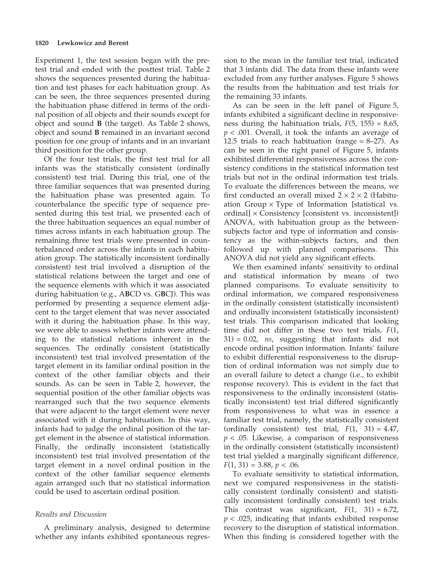Experiment 1, the test session began with the pretest trial and ended with the posttest trial. Table 2 shows the sequences presented during the habituation and test phases for each habituation group. As can be seen, the three sequences presented during the habituation phase differed in terms of the ordinal position of all objects and their sounds except for object and sound B (the target). As Table 2 shows, object and sound B remained in an invariant second position for one group of infants and in an invariant third position for the other group.

Of the four test trials, the first test trial for all infants was the statistically consistent (ordinally consistent) test trial. During this trial, one of the three familiar sequences that was presented during the habituation phase was presented again. To counterbalance the specific type of sequence presented during this test trial, we presented each of the three habituation sequences an equal number of times across infants in each habituation group. The remaining three test trials were presented in counterbalanced order across the infants in each habituation group. The statistically inconsistent (ordinally consistent) test trial involved a disruption of the statistical relations between the target and one of the sequence elements with which it was associated during habituation (e.g., ABCD vs. GBCJ). This was performed by presenting a sequence element adjacent to the target element that was never associated with it during the habituation phase. In this way, we were able to assess whether infants were attending to the statistical relations inherent in the sequences. The ordinally consistent (statistically inconsistent) test trial involved presentation of the target element in its familiar ordinal position in the context of the other familiar objects and their sounds. As can be seen in Table 2, however, the sequential position of the other familiar objects was rearranged such that the two sequence elements that were adjacent to the target element were never associated with it during habituation. In this way, infants had to judge the ordinal position of the target element in the absence of statistical information. Finally, the ordinally inconsistent (statistically inconsistent) test trial involved presentation of the target element in a novel ordinal position in the context of the other familiar sequence elements again arranged such that no statistical information could be used to ascertain ordinal position.

# Results and Discussion

A preliminary analysis, designed to determine whether any infants exhibited spontaneous regression to the mean in the familiar test trial, indicated that 3 infants did. The data from these infants were excluded from any further analyses. Figure 5 shows the results from the habituation and test trials for the remaining 33 infants.

As can be seen in the left panel of Figure 5, infants exhibited a significant decline in responsiveness during the habituation trials,  $F(5, 155) = 8.65$ ,  $p < .001$ . Overall, it took the infants an average of 12.5 trials to reach habituation (range  $= 8-27$ ). As can be seen in the right panel of Figure 5, infants exhibited differential responsiveness across the consistency conditions in the statistical information test trials but not in the ordinal information test trials. To evaluate the differences between the means, we first conducted an overall mixed  $2 \times 2 \times 2$  (Habituation Group  $\times$  Type of Information [statistical vs. ordinal]  $\times$  Consistency [consistent vs. inconsistent]) ANOVA, with habituation group as the betweensubjects factor and type of information and consistency as the within-subjects factors, and then followed up with planned comparisons. This ANOVA did not yield any significant effects.

We then examined infants' sensitivity to ordinal and statistical information by means of two planned comparisons. To evaluate sensitivity to ordinal information, we compared responsiveness in the ordinally consistent (statistically inconsistent) and ordinally inconsistent (statistically inconsistent) test trials. This comparison indicated that looking time did not differ in these two test trials, F(1,  $31$ ) = 0.02, *ns*, suggesting that infants did not encode ordinal position information. Infants' failure to exhibit differential responsiveness to the disruption of ordinal information was not simply due to an overall failure to detect a change (i.e., to exhibit response recovery). This is evident in the fact that responsiveness to the ordinally inconsistent (statistically inconsistent) test trial differed significantly from responsiveness to what was in essence a familiar test trial, namely, the statistically consistent (ordinally consistent) test trial,  $F(1, 31) = 4.47$ ,  $p < .05$ . Likewise, a comparison of responsiveness in the ordinally consistent (statistically inconsistent) test trial yielded a marginally significant difference,  $F(1, 31) = 3.88, p < .06$ .

To evaluate sensitivity to statistical information, next we compared responsiveness in the statistically consistent (ordinally consistent) and statistically inconsistent (ordinally consistent) test trials. This contrast was significant,  $F(1, 31) = 6.72$ ,  $p < .025$ , indicating that infants exhibited response recovery to the disruption of statistical information. When this finding is considered together with the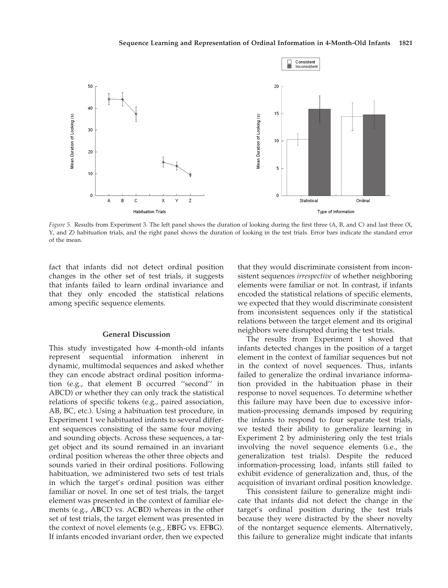

Figure 5. Results from Experiment 3. The left panel shows the duration of looking during the first three (A, B, and C) and last three (X, Y, and Z) habituation trials, and the right panel shows the duration of looking in the test trials. Error bars indicate the standard error of the mean.

fact that infants did not detect ordinal position changes in the other set of test trials, it suggests that infants failed to learn ordinal invariance and that they only encoded the statistical relations among specific sequence elements.

# General Discussion

This study investigated how 4-month-old infants represent sequential information inherent in dynamic, multimodal sequences and asked whether they can encode abstract ordinal position information (e.g., that element B occurred ''second'' in ABCD) or whether they can only track the statistical relations of specific tokens (e.g., paired association, AB, BC, etc.). Using a habituation test procedure, in Experiment 1 we habituated infants to several different sequences consisting of the same four moving and sounding objects. Across these sequences, a target object and its sound remained in an invariant ordinal position whereas the other three objects and sounds varied in their ordinal positions. Following habituation, we administered two sets of test trials in which the target's ordinal position was either familiar or novel. In one set of test trials, the target element was presented in the context of familiar elements (e.g., ABCD vs. ACBD) whereas in the other set of test trials, the target element was presented in the context of novel elements (e.g., EBFG vs. EFBG). If infants encoded invariant order, then we expected

that they would discriminate consistent from inconsistent sequences *irrespective* of whether neighboring elements were familiar or not. In contrast, if infants encoded the statistical relations of specific elements, we expected that they would discriminate consistent from inconsistent sequences only if the statistical relations between the target element and its original neighbors were disrupted during the test trials.

The results from Experiment 1 showed that infants detected changes in the position of a target element in the context of familiar sequences but not in the context of novel sequences. Thus, infants failed to generalize the ordinal invariance information provided in the habituation phase in their response to novel sequences. To determine whether this failure may have been due to excessive information-processing demands imposed by requiring the infants to respond to four separate test trials, we tested their ability to generalize learning in Experiment 2 by administering only the test trials involving the novel sequence elements (i.e., the generalization test trials). Despite the reduced information-processing load, infants still failed to exhibit evidence of generalization and, thus, of the acquisition of invariant ordinal position knowledge.

This consistent failure to generalize might indicate that infants did not detect the change in the target's ordinal position during the test trials because they were distracted by the sheer novelty of the nontarget sequence elements. Alternatively, this failure to generalize might indicate that infants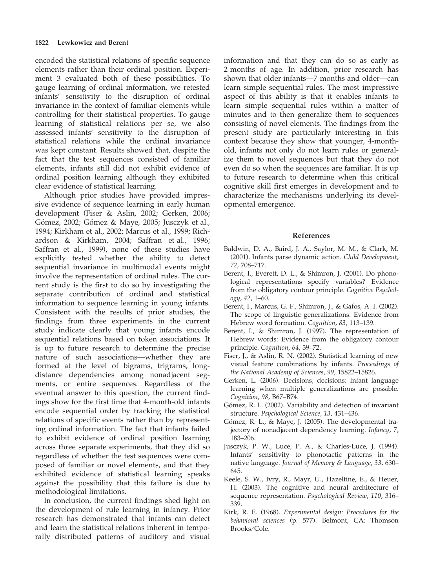encoded the statistical relations of specific sequence elements rather than their ordinal position. Experiment 3 evaluated both of these possibilities. To gauge learning of ordinal information, we retested infants' sensitivity to the disruption of ordinal invariance in the context of familiar elements while controlling for their statistical properties. To gauge learning of statistical relations per se, we also assessed infants' sensitivity to the disruption of statistical relations while the ordinal invariance was kept constant. Results showed that, despite the fact that the test sequences consisted of familiar elements, infants still did not exhibit evidence of ordinal position learning although they exhibited clear evidence of statistical learning.

Although prior studies have provided impressive evidence of sequence learning in early human development (Fiser & Aslin, 2002; Gerken, 2006; Gómez, 2002; Gómez & Maye, 2005; Jusczyk et al., 1994; Kirkham et al., 2002; Marcus et al., 1999; Richardson & Kirkham, 2004; Saffran et al., 1996; Saffran et al., 1999), none of these studies have explicitly tested whether the ability to detect sequential invariance in multimodal events might involve the representation of ordinal rules. The current study is the first to do so by investigating the separate contribution of ordinal and statistical information to sequence learning in young infants. Consistent with the results of prior studies, the findings from three experiments in the current study indicate clearly that young infants encode sequential relations based on token associations. It is up to future research to determine the precise nature of such associations—whether they are formed at the level of bigrams, trigrams, longdistance dependencies among nonadjacent segments, or entire sequences. Regardless of the eventual answer to this question, the current findings show for the first time that 4-month-old infants encode sequential order by tracking the statistical relations of specific events rather than by representing ordinal information. The fact that infants failed to exhibit evidence of ordinal position learning across three separate experiments, that they did so regardless of whether the test sequences were composed of familiar or novel elements, and that they exhibited evidence of statistical learning speaks against the possibility that this failure is due to methodological limitations.

In conclusion, the current findings shed light on the development of rule learning in infancy. Prior research has demonstrated that infants can detect and learn the statistical relations inherent in temporally distributed patterns of auditory and visual

information and that they can do so as early as 2 months of age. In addition, prior research has shown that older infants—7 months and older—can learn simple sequential rules. The most impressive aspect of this ability is that it enables infants to learn simple sequential rules within a matter of minutes and to then generalize them to sequences consisting of novel elements. The findings from the present study are particularly interesting in this context because they show that younger, 4-monthold, infants not only do not learn rules or generalize them to novel sequences but that they do not even do so when the sequences are familiar. It is up to future research to determine when this critical cognitive skill first emerges in development and to characterize the mechanisms underlying its developmental emergence.

# References

- Baldwin, D. A., Baird, J. A., Saylor, M. M., & Clark, M. (2001). Infants parse dynamic action. Child Development, 72, 708–717.
- Berent, I., Everett, D. L., & Shimron, J. (2001). Do phonological representations specify variables? Evidence from the obligatory contour principle. Cognitive Psychology, 42, 1–60.
- Berent, I., Marcus, G. F., Shimron, J., & Gafos, A. I. (2002). The scope of linguistic generalizations: Evidence from Hebrew word formation. Cognition, 83, 113–139.
- Berent, I., & Shimron, J. (1997). The representation of Hebrew words: Evidence from the obligatory contour principle. Cognition, 64, 39–72.
- Fiser, J., & Aslin, R. N. (2002). Statistical learning of new visual feature combinations by infants. Proceedings of the National Academy of Sciences, 99, 15822–15826.
- Gerken, L. (2006). Decisions, decisions: Infant language learning when multiple generalizations are possible. Cognition, 98, B67–B74.
- Gómez, R. L. (2002). Variability and detection of invariant structure. Psychological Science, 13, 431–436.
- Gómez, R. L., & Maye, J. (2005). The developmental trajectory of nonadjacent dependency learning. Infancy, 7, 183–206.
- Jusczyk, P. W., Luce, P. A., & Charles-Luce, J. (1994). Infants' sensitivity to phonotactic patterns in the native language. Journal of Memory & Language, 33, 630– 645.
- Keele, S. W., Ivry, R., Mayr, U., Hazeltine, E., & Heuer, H. (2003). The cognitive and neural architecture of sequence representation. Psychological Review, 110, 316– 339.
- Kirk, R. E. (1968). Experimental design: Procedures for the behavioral sciences (p. 577). Belmont, CA: Thomson Brooks/Cole.